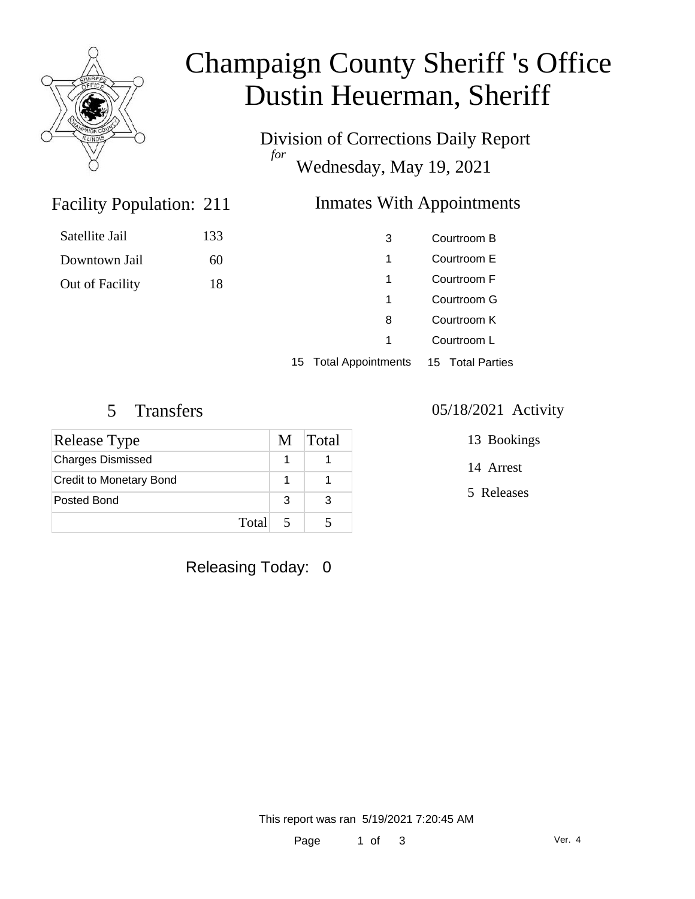

# Champaign County Sheriff 's Office Dustin Heuerman, Sheriff

Division of Corrections Daily Report *for* Wednesday, May 19, 2021

## **Inmates With Appointments**

### 3 Courtroom B 1 Courtroom E 1 Courtroom F 1 Courtroom G 8 Courtroom K 1 Courtroom L

15 Total Appointments 15 Total Parties

Facility Population: 211

Satellite Jail 133

Downtown Jail 60

Out of Facility 18

| <b>Release Type</b>            | M | Total |
|--------------------------------|---|-------|
| <b>Charges Dismissed</b>       |   |       |
| <b>Credit to Monetary Bond</b> |   |       |
| Posted Bond                    | 3 | З     |
| Total                          |   |       |

Releasing Today: 0

#### 5 Transfers 05/18/2021 Activity

13 Bookings

14 Arrest

5 Releases

This report was ran 5/19/2021 7:20:45 AM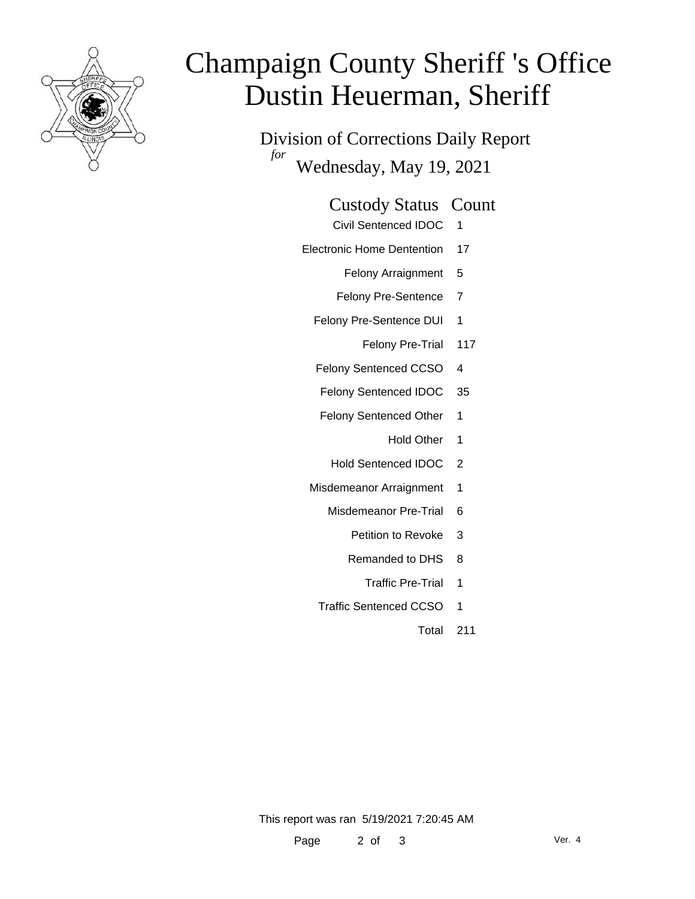

# Champaign County Sheriff 's Office Dustin Heuerman, Sheriff

Division of Corrections Daily Report *for* Wednesday, May 19, 2021

#### Custody Status Count

- Civil Sentenced IDOC 1
- Electronic Home Dentention 17
	- Felony Arraignment 5
	- Felony Pre-Sentence 7
	- Felony Pre-Sentence DUI 1
		- Felony Pre-Trial 117
	- Felony Sentenced CCSO 4
	- Felony Sentenced IDOC 35
	- Felony Sentenced Other 1
		- Hold Other 1
		- Hold Sentenced IDOC 2
	- Misdemeanor Arraignment 1
		- Misdemeanor Pre-Trial 6
			- Petition to Revoke 3
			- Remanded to DHS 8
				- Traffic Pre-Trial 1
		- Traffic Sentenced CCSO 1
			- Total 211